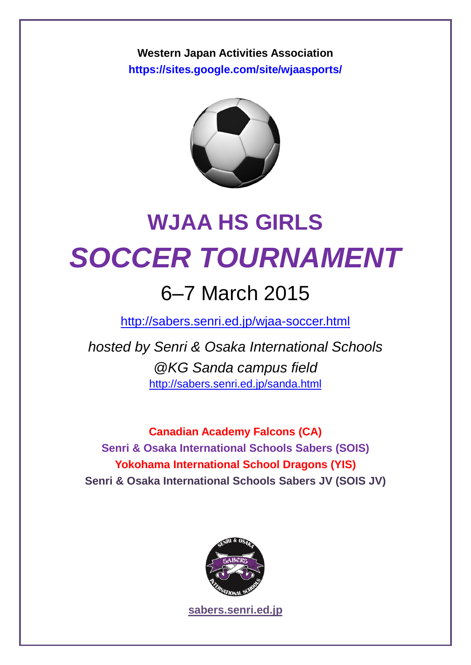**Western Japan Activities Association <https://sites.google.com/site/wjaasports/>**



# **WJAA HS GIRLS** *SOCCER TOURNAMENT*

### 6–7 March 2015

<http://sabers.senri.ed.jp/wjaa-soccer.html>

*hosted by Senri & Osaka International Schools @KG Sanda campus field* <http://sabers.senri.ed.jp/sanda.html>

**Canadian Academy Falcons (CA) Senri & Osaka International Schools Sabers (SOIS) Yokohama International School Dragons (YIS) Senri & Osaka International Schools Sabers JV (SOIS JV)**



**[sabers.senri.ed.jp](http://sabers.senri.ed.jp/)**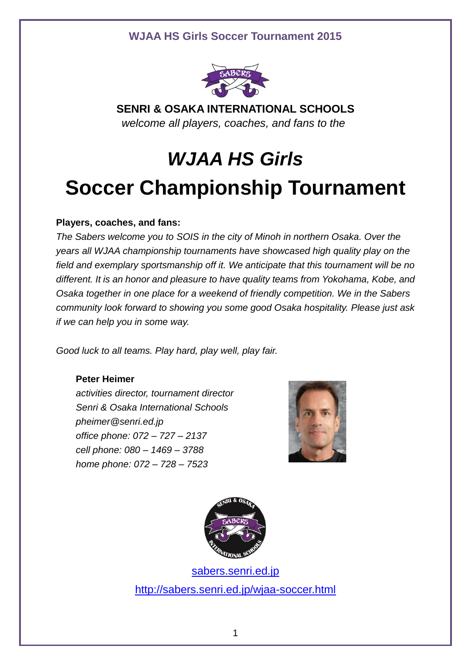

**SENRI & OSAKA INTERNATIONAL SCHOOLS** *welcome all players, coaches, and fans to the*

## *WJAA HS Girls*  **Soccer Championship Tournament**

#### **Players, coaches, and fans:**

*The Sabers welcome you to SOIS in the city of Minoh in northern Osaka. Over the years all WJAA championship tournaments have showcased high quality play on the field and exemplary sportsmanship off it. We anticipate that this tournament will be no different. It is an honor and pleasure to have quality teams from Yokohama, Kobe, and Osaka together in one place for a weekend of friendly competition. We in the Sabers community look forward to showing you some good Osaka hospitality. Please just ask if we can help you in some way.*

*Good luck to all teams. Play hard, play well, play fair.*

#### **Peter Heimer**

*activities director, tournament director Senri & Osaka International Schools pheimer@senri.ed.jp office phone: 072 – 727 – 2137 cell phone: 080 – 1469 – 3788 home phone: 072 – 728 – 7523* 





[sabers.senri.ed.jp](http://sabers.senri.ed.jp/) <http://sabers.senri.ed.jp/wjaa-soccer.html>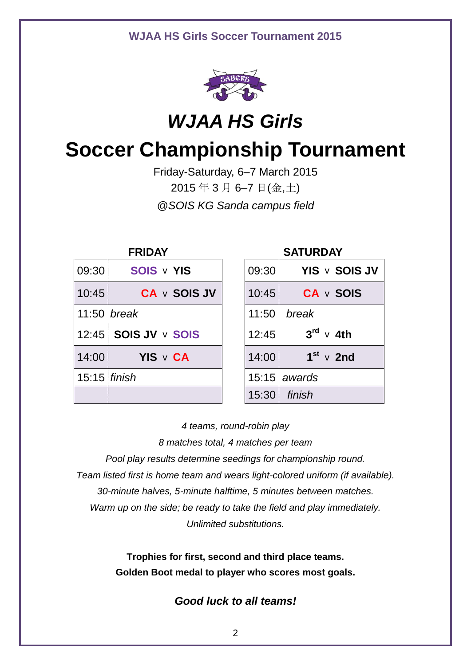

### *WJAA HS Girls*

### **Soccer Championship Tournament**

Friday-Saturday, 6–7 March 2015 2015 年 3 月 6–7 日(金,土) *@SOIS KG Sanda campus field*

| <b>FRIDAY</b>  |                      |  | <b>SATURDAY</b>    |                           |  |
|----------------|----------------------|--|--------------------|---------------------------|--|
| 09:30          | SOIS v YIS           |  | 09:30              | YIS v SOIS JV             |  |
| 10:45          | <b>CA v SOIS JV</b>  |  | 10:45              | <b>CA</b> v SOIS          |  |
| 11:50 break    |                      |  | 11:50 <i>break</i> |                           |  |
|                | 12:45 SOIS JV v SOIS |  | 12:45              | $3^{\text{rd}} \vee 4$ th |  |
| 14:00          | YIS v CA             |  | 14:00              | $1st$ v 2nd               |  |
| $15:15$ finish |                      |  |                    | $15:15$ awards            |  |
|                |                      |  |                    | 15:30 finish              |  |

*4 teams, round-robin play*

*8 matches total, 4 matches per team*

*Pool play results determine seedings for championship round. Team listed first is home team and wears light-colored uniform (if available). 30-minute halves, 5-minute halftime, 5 minutes between matches. Warm up on the side; be ready to take the field and play immediately. Unlimited substitutions.*

> **Trophies for first, second and third place teams. Golden Boot medal to player who scores most goals.**

#### *Good luck to all teams!*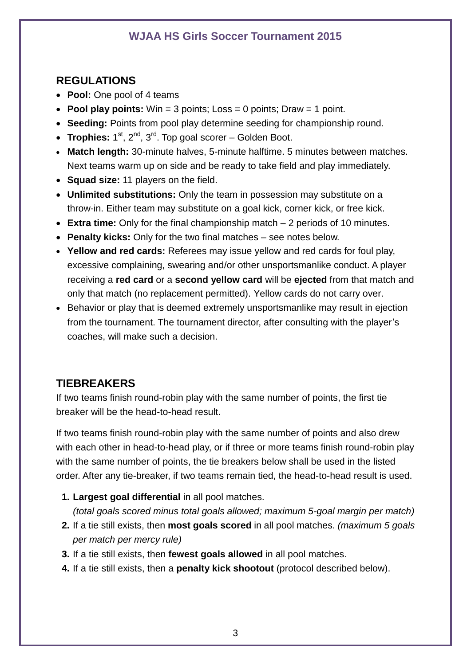#### **REGULATIONS**

- **Pool:** One pool of 4 teams
- **Pool play points:** Win = 3 points; Loss = 0 points; Draw = 1 point.
- **Seeding:** Points from pool play determine seeding for championship round.
- Trophies: 1<sup>st</sup>, 2<sup>nd</sup>, 3<sup>rd</sup>. Top goal scorer Golden Boot.
- **Match length:** 30-minute halves, 5-minute halftime. 5 minutes between matches. Next teams warm up on side and be ready to take field and play immediately.
- **Squad size:** 11 players on the field.
- **Unlimited substitutions:** Only the team in possession may substitute on a throw-in. Either team may substitute on a goal kick, corner kick, or free kick.
- **Extra time:** Only for the final championship match 2 periods of 10 minutes.
- **Penalty kicks:** Only for the two final matches see notes below.
- **Yellow and red cards:** Referees may issue yellow and red cards for foul play, excessive complaining, swearing and/or other unsportsmanlike conduct. A player receiving a **red card** or a **second yellow card** will be **ejected** from that match and only that match (no replacement permitted). Yellow cards do not carry over.
- Behavior or play that is deemed extremely unsportsmanlike may result in ejection from the tournament. The tournament director, after consulting with the player's coaches, will make such a decision.

#### **TIEBREAKERS**

If two teams finish round-robin play with the same number of points, the first tie breaker will be the head-to-head result.

If two teams finish round-robin play with the same number of points and also drew with each other in head-to-head play, or if three or more teams finish round-robin play with the same number of points, the tie breakers below shall be used in the listed order. After any tie-breaker, if two teams remain tied, the head-to-head result is used.

**1. Largest goal differential** in all pool matches.

*(total goals scored minus total goals allowed; maximum 5-goal margin per match)*

- **2.** If a tie still exists, then **most goals scored** in all pool matches. *(maximum 5 goals per match per mercy rule)*
- **3.** If a tie still exists, then **fewest goals allowed** in all pool matches.
- **4.** If a tie still exists, then a **penalty kick shootout** (protocol described below).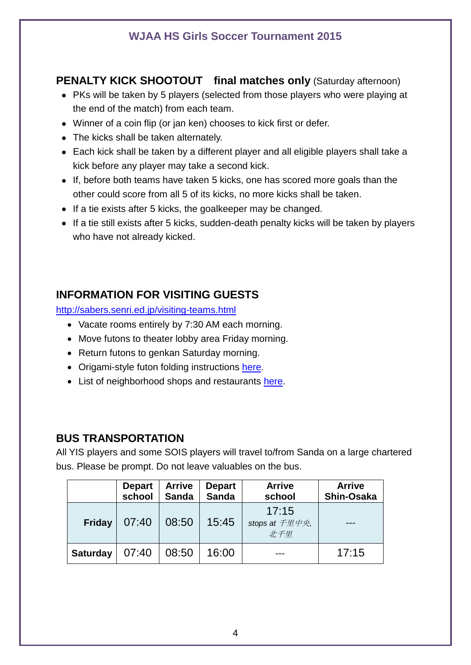#### **PENALTY KICK SHOOTOUT final matches only** (Saturday afternoon)

- PKs will be taken by 5 players (selected from those players who were playing at the end of the match) from each team.
- Winner of a coin flip (or jan ken) chooses to kick first or defer.
- The kicks shall be taken alternately.
- Each kick shall be taken by a different player and all eligible players shall take a kick before any player may take a second kick.
- If, before both teams have taken 5 kicks, one has scored more goals than the other could score from all 5 of its kicks, no more kicks shall be taken.
- If a tie exists after 5 kicks, the goalkeeper may be changed.
- If a tie still exists after 5 kicks, sudden-death penalty kicks will be taken by players who have not already kicked.

#### **INFORMATION FOR VISITING GUESTS**

<http://sabers.senri.ed.jp/visiting-teams.html>

- Vacate rooms entirely by 7:30 AM each morning.
- Move futons to theater lobby area Friday morning.
- Return futons to genkan Saturday morning.
- Origami-style futon folding instructions [here.](http://sabers.senri.ed.jp/uploads/2/1/1/7/21174716/futonfoldinginstructionssois.pdf)
- List of neighborhood shops and restaurants [here.](http://sabers.senri.ed.jp/uploads/2/1/1/7/21174716/sleepoverinfoosaka2015.pdf)

#### **BUS TRANSPORTATION**

All YIS players and some SOIS players will travel to/from Sanda on a large chartered bus. Please be prompt. Do not leave valuables on the bus.

|                 | <b>Depart</b><br>school | <b>Arrive</b><br><b>Sanda</b> | <b>Depart</b><br><b>Sanda</b> | <b>Arrive</b><br>school                | <b>Arrive</b><br>Shin-Osaka |
|-----------------|-------------------------|-------------------------------|-------------------------------|----------------------------------------|-----------------------------|
| <b>Friday</b>   | 07:40                   | 08:50                         | 15:45                         | 17:15<br>stops at <i>千里中央</i> ,<br>北千里 |                             |
| <b>Saturday</b> | 07:40                   | 08:50                         | 16:00                         |                                        | 17:15                       |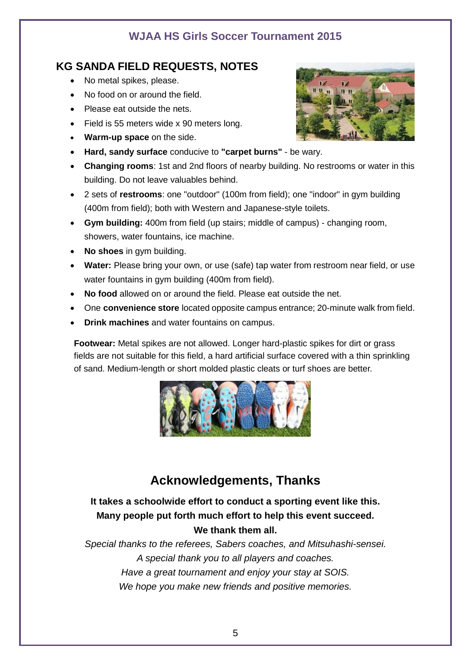#### **KG SANDA FIELD REQUESTS, NOTES**

- No metal spikes, please.
- No food on or around the field.
- Please eat outside the nets.
- Field is 55 meters wide x 90 meters long.
- **Warm-up space** on the side.
- **Hard, sandy surface** conducive to **"carpet burns"** be wary.
- **Changing rooms**: 1st and 2nd floors of nearby building. No restrooms or water in this building. Do not leave valuables behind.
- 2 sets of **restrooms**: one "outdoor" (100m from field); one "indoor" in gym building (400m from field); both with Western and Japanese-style toilets.
- **Gym building:** 400m from field (up stairs; middle of campus) changing room, showers, water fountains, ice machine.
- **No shoes** in gym building.
- **Water:** Please bring your own, or use (safe) tap water from restroom near field, or use water fountains in gym building (400m from field).
- **No food** allowed on or around the field. Please eat outside the net.
- One **convenience store** located opposite campus entrance; 20-minute walk from field.
- **Drink machines** and water fountains on campus.

**Footwear:** Metal spikes are not allowed. Longer hard-plastic spikes for dirt or grass fields are not suitable for this field, a hard artificial surface covered with a thin sprinkling of sand. Medium-length or short molded plastic cleats or turf shoes are better.



#### **Acknowledgements, Thanks**

**It takes a schoolwide effort to conduct a sporting event like this. Many people put forth much effort to help this event succeed. We thank them all.**

*Special thanks to the referees, Sabers coaches, and Mitsuhashi-sensei. A special thank you to all players and coaches. Have a great tournament and enjoy your stay at SOIS. We hope you make new friends and positive memories.*

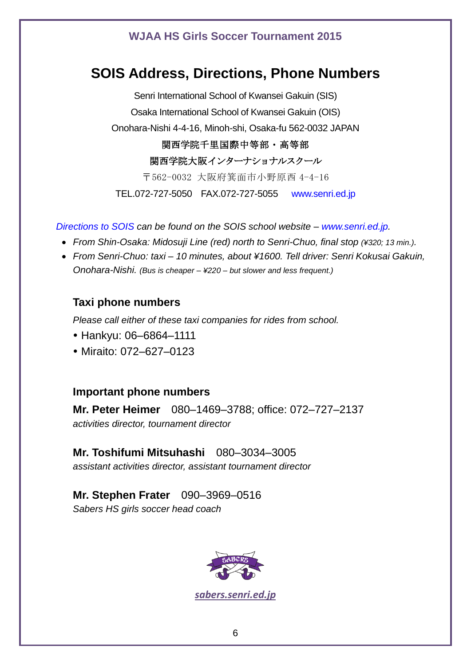#### **SOIS Address, Directions, Phone Numbers**

Senri International School of Kwansei Gakuin (SIS) Osaka International School of Kwansei Gakuin (OIS) Onohara-Nishi 4-4-16, Minoh-shi, Osaka-fu 562-0032 JAPAN 関西学院千里国際中等部・高等部 関西学院大阪インターナショナルスクール 〒562-0032 大阪府箕面市小野原西 4-4-16 TEL.072-727-5050 FAX.072-727-5055 [www.senri.ed.jp](http://www.senri.ed.jp/)

*[Directions to SOIS](http://www.senri.ed.jp/site/index.php?option=com_content&view=article&id=57&Itemid=278&lang=en) can be found on the SOIS school website – [www.senri.ed.jp.](http://www.senri.ed.jp/)*

- *From Shin-Osaka: Midosuji Line (red) north to Senri-Chuo, final stop (¥320; 13 min.).*
- *From Senri-Chuo: taxi – 10 minutes, about ¥1600. Tell driver: Senri Kokusai Gakuin, Onohara-Nishi. (Bus is cheaper – ¥220 – but slower and less frequent.)*

#### **Taxi phone numbers**

*Please call either of these taxi companies for rides from school.* 

- Hankyu: 06–6864–1111
- Miraito: 072–627–0123

#### **Important phone numbers**

**Mr. Peter Heimer** 080–1469–3788; office: 072–727–2137 *activities director, tournament director*

**Mr. Toshifumi Mitsuhashi** 080–3034–3005 *assistant activities director, assistant tournament director*

**Mr. Stephen Frater** 090–3969–0516 *Sabers HS girls soccer head coach*



*[sabers.senri.ed.jp](http://sabers.senri.ed.jp/)*